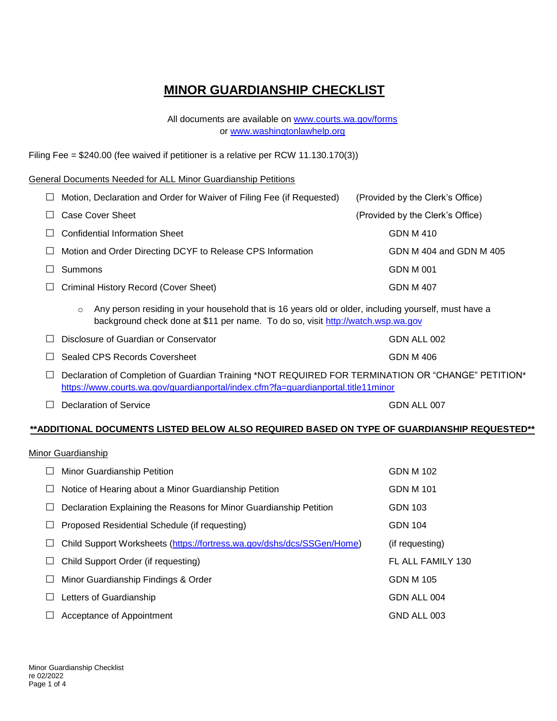# **MINOR GUARDIANSHIP CHECKLIST**

All documents are available on [www.courts.wa.gov/forms](http://www.courts.wa.gov/forms) or [www.washingtonlawhelp.org](http://www.washingtonlawhelp.org/)

Filing Fee = \$240.00 (fee waived if petitioner is a relative per RCW 11.130.170(3))

#### General Documents Needed for ALL Minor Guardianship Petitions

| $\perp$ | Motion, Declaration and Order for Waiver of Filing Fee (if Requested) | (Provided by the Clerk's Office) |
|---------|-----------------------------------------------------------------------|----------------------------------|
|         | Case Cover Sheet                                                      | (Provided by the Clerk's Office) |
|         | <b>Confidential Information Sheet</b>                                 | GDN M 410                        |
| $\Box$  | Motion and Order Directing DCYF to Release CPS Information            | GDN M 404 and GDN M 405          |
|         | <b>Summons</b>                                                        | <b>GDN M 001</b>                 |
| $\Box$  | Criminal History Record (Cover Sheet)                                 | GDN M 407                        |

 $\circ$  Any person residing in your household that is 16 years old or older, including yourself, must have a background check done at \$11 per name. To do so, visit [http://watch.wsp.wa.gov](http://watch.wsp.wa.gov/)

| $\Box$ Disclosure of Guardian or Conservator | GDN ALL 002 |
|----------------------------------------------|-------------|
| $\Box$ Sealed CPS Records Coversheet         | GDN M 406   |

- □ Declaration of Completion of Guardian Training \*NOT REQUIRED FOR TERMINATION OR "CHANGE" PETITION\* <https://www.courts.wa.gov/guardianportal/index.cfm?fa=guardianportal.title11minor>
- □ Declaration of Service GDN ALL 007

### **\*\*ADDITIONAL DOCUMENTS LISTED BELOW ALSO REQUIRED BASED ON TYPE OF GUARDIANSHIP REQUESTED\*\***

#### Minor Guardianship

| $\Box$ | <b>Minor Guardianship Petition</b>                                     | GDN M 102         |
|--------|------------------------------------------------------------------------|-------------------|
| ப      | Notice of Hearing about a Minor Guardianship Petition                  | <b>GDN M 101</b>  |
| ப      | Declaration Explaining the Reasons for Minor Guardianship Petition     | <b>GDN 103</b>    |
| $\Box$ | Proposed Residential Schedule (if requesting)                          | <b>GDN 104</b>    |
| ш      | Child Support Worksheets (https://fortress.wa.gov/dshs/dcs/SSGen/Home) | (if requesting)   |
| ш      | Child Support Order (if requesting)                                    | FL ALL FAMILY 130 |
| ⊔      | Minor Guardianship Findings & Order                                    | <b>GDN M 105</b>  |
| $\Box$ | Letters of Guardianship                                                | GDN ALL 004       |
|        | Acceptance of Appointment                                              | GND ALL 003       |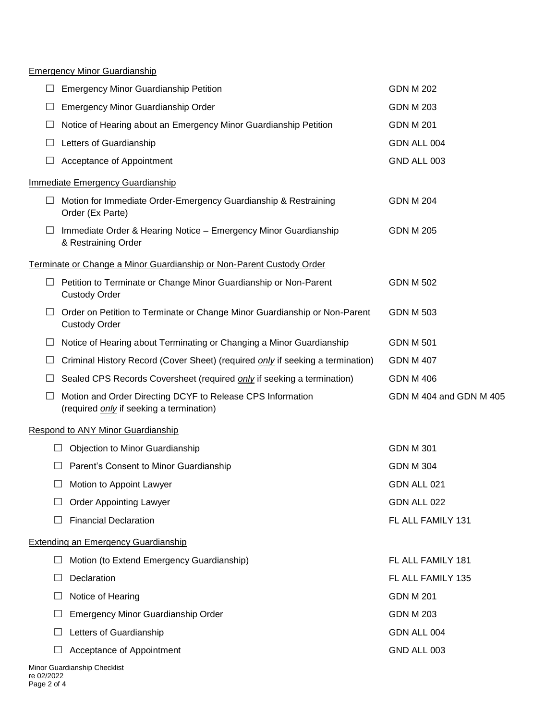### Emergency Minor Guardianship

|            | <b>Emergency Minor Guardianship Petition</b>                                                                  | <b>GDN M 202</b>        |
|------------|---------------------------------------------------------------------------------------------------------------|-------------------------|
|            | Emergency Minor Guardianship Order                                                                            | <b>GDN M 203</b>        |
|            | Notice of Hearing about an Emergency Minor Guardianship Petition                                              | <b>GDN M 201</b>        |
|            | Letters of Guardianship                                                                                       | GDN ALL 004             |
|            | Acceptance of Appointment                                                                                     | GND ALL 003             |
|            |                                                                                                               |                         |
|            | <b>Immediate Emergency Guardianship</b>                                                                       |                         |
| ⊔          | Motion for Immediate Order-Emergency Guardianship & Restraining<br>Order (Ex Parte)                           | <b>GDN M 204</b>        |
| ⊔          | Immediate Order & Hearing Notice - Emergency Minor Guardianship<br>& Restraining Order                        | <b>GDN M 205</b>        |
|            | Terminate or Change a Minor Guardianship or Non-Parent Custody Order                                          |                         |
| ப          | Petition to Terminate or Change Minor Guardianship or Non-Parent<br><b>Custody Order</b>                      | <b>GDN M 502</b>        |
|            | Order on Petition to Terminate or Change Minor Guardianship or Non-Parent<br><b>Custody Order</b>             | <b>GDN M 503</b>        |
| ப          | Notice of Hearing about Terminating or Changing a Minor Guardianship                                          | <b>GDN M 501</b>        |
|            | Criminal History Record (Cover Sheet) (required only if seeking a termination)                                | <b>GDN M 407</b>        |
|            | Sealed CPS Records Coversheet (required <i>only</i> if seeking a termination)                                 | <b>GDN M 406</b>        |
|            | Motion and Order Directing DCYF to Release CPS Information<br>(required <i>only</i> if seeking a termination) | GDN M 404 and GDN M 405 |
|            | <b>Respond to ANY Minor Guardianship</b>                                                                      |                         |
|            | Objection to Minor Guardianship<br>$\Box$                                                                     | <b>GDN M 301</b>        |
|            | Parent's Consent to Minor Guardianship<br>⊔                                                                   | <b>GDN M 304</b>        |
|            | Motion to Appoint Lawyer<br>$\Box$                                                                            | GDN ALL 021             |
|            | <b>Order Appointing Lawyer</b>                                                                                | GDN ALL 022             |
|            | <b>Financial Declaration</b><br>ΙI                                                                            | FL ALL FAMILY 131       |
|            | <b>Extending an Emergency Guardianship</b>                                                                    |                         |
|            | Motion (to Extend Emergency Guardianship)<br>$\Box$                                                           | FL ALL FAMILY 181       |
|            | Declaration<br>$\Box$                                                                                         | FL ALL FAMILY 135       |
|            | Notice of Hearing<br>$\Box$                                                                                   | <b>GDN M 201</b>        |
| $\Box$     | Emergency Minor Guardianship Order                                                                            | <b>GDN M 203</b>        |
|            | Letters of Guardianship<br>$\Box$                                                                             | GDN ALL 004             |
|            | Acceptance of Appointment<br>Ш                                                                                | GND ALL 003             |
| re 02/2022 | Minor Guardianship Checklist                                                                                  |                         |

Page 2 of 4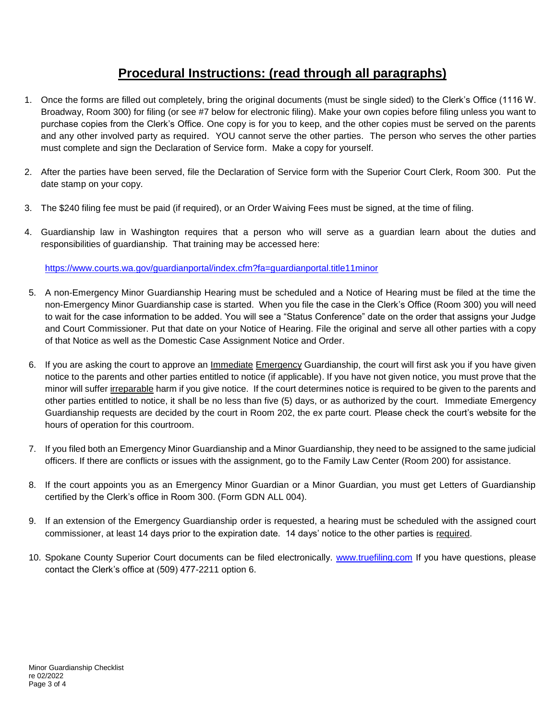## **Procedural Instructions: (read through all paragraphs)**

- 1. Once the forms are filled out completely, bring the original documents (must be single sided) to the Clerk's Office (1116 W. Broadway, Room 300) for filing (or see #7 below for electronic filing). Make your own copies before filing unless you want to purchase copies from the Clerk's Office. One copy is for you to keep, and the other copies must be served on the parents and any other involved party as required. YOU cannot serve the other parties. The person who serves the other parties must complete and sign the Declaration of Service form. Make a copy for yourself.
- 2. After the parties have been served, file the Declaration of Service form with the Superior Court Clerk, Room 300. Put the date stamp on your copy.
- 3. The \$240 filing fee must be paid (if required), or an Order Waiving Fees must be signed, at the time of filing.
- 4. Guardianship law in Washington requires that a person who will serve as a guardian learn about the duties and responsibilities of guardianship. That training may be accessed here:

<https://www.courts.wa.gov/guardianportal/index.cfm?fa=guardianportal.title11minor>

- 5. A non-Emergency Minor Guardianship Hearing must be scheduled and a Notice of Hearing must be filed at the time the non-Emergency Minor Guardianship case is started. When you file the case in the Clerk's Office (Room 300) you will need to wait for the case information to be added. You will see a "Status Conference" date on the order that assigns your Judge and Court Commissioner. Put that date on your Notice of Hearing. File the original and serve all other parties with a copy of that Notice as well as the Domestic Case Assignment Notice and Order.
- 6. If you are asking the court to approve an Immediate Emergency Guardianship, the court will first ask you if you have given notice to the parents and other parties entitled to notice (if applicable). If you have not given notice, you must prove that the minor will suffer irreparable harm if you give notice. If the court determines notice is required to be given to the parents and other parties entitled to notice, it shall be no less than five (5) days, or as authorized by the court. Immediate Emergency Guardianship requests are decided by the court in Room 202, the ex parte court. Please check the court's website for the hours of operation for this courtroom.
- 7. If you filed both an Emergency Minor Guardianship and a Minor Guardianship, they need to be assigned to the same judicial officers. If there are conflicts or issues with the assignment, go to the Family Law Center (Room 200) for assistance.
- 8. If the court appoints you as an Emergency Minor Guardian or a Minor Guardian, you must get Letters of Guardianship certified by the Clerk's office in Room 300. (Form GDN ALL 004).
- 9. If an extension of the Emergency Guardianship order is requested, a hearing must be scheduled with the assigned court commissioner, at least 14 days prior to the expiration date. 14 days' notice to the other parties is required.
- 10. Spokane County Superior Court documents can be filed electronically. [www.truefiling.com](http://www.truefiling.com/) If you have questions, please contact the Clerk's office at (509) 477-2211 option 6.